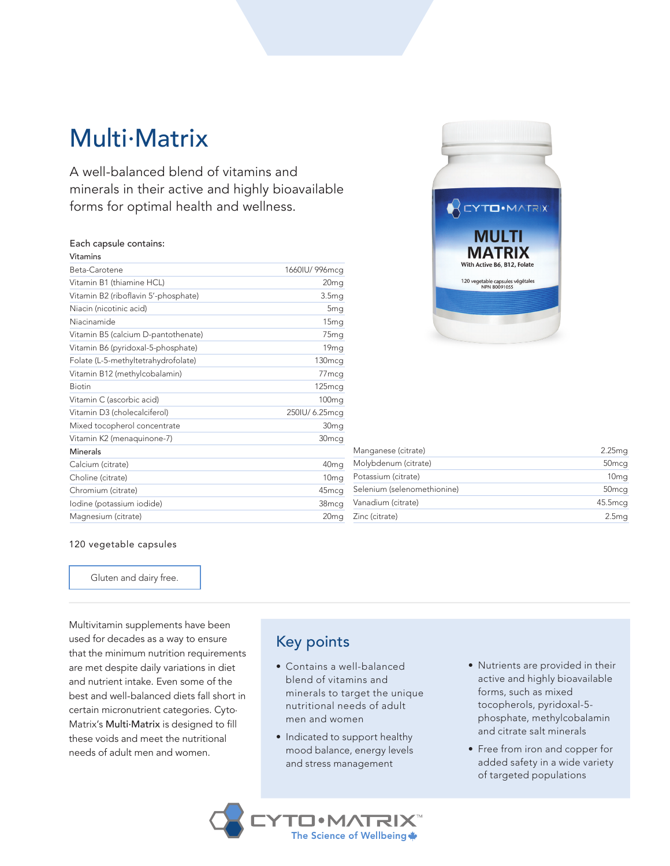# Multi.Matrix

A well-balanced blend of vitamins and minerals in their active and highly bioavailable forms for optimal health and wellness.

#### Each capsule contains:

| Vitamins                             |                   |
|--------------------------------------|-------------------|
| Beta-Carotene                        | 1660IU/996mcg     |
| Vitamin B1 (thiamine HCL)            | 20 <sub>mg</sub>  |
| Vitamin B2 (riboflavin 5'-phosphate) | 3.5 <sub>mg</sub> |
| Niacin (nicotinic acid)              | 5 <sub>mg</sub>   |
| Niacinamide                          | 15 <sub>mg</sub>  |
| Vitamin B5 (calcium D-pantothenate)  | 75 <sub>mg</sub>  |
| Vitamin B6 (pyridoxal-5-phosphate)   | 19 <sub>mg</sub>  |
| Folate (L-5-methyltetrahydrofolate)  | 130mcg            |
| Vitamin B12 (methylcobalamin)        | 77 <sub>mcg</sub> |
| <b>Biotin</b>                        | 125mcg            |
| Vitamin C (ascorbic acid)            | 100 <sub>mg</sub> |
| Vitamin D3 (cholecalciferol)         | 250IU/ 6.25mcq    |
| Mixed tocopherol concentrate         | 30 <sub>mg</sub>  |
| Vitamin K2 (menaquinone-7)           | 30 <sub>mcg</sub> |
| Minerals                             |                   |
| Calcium (citrate)                    | 40 <sub>mg</sub>  |
| Choline (citrate)                    | 10 <sub>mg</sub>  |
| Chromium (citrate)                   | 45mcg             |
| Iodine (potassium iodide)            | 38mcg             |
| Magnesium (citrate)                  | 20 <sub>mg</sub>  |



| Manganese (citrate)         | 2.25 <sub>mq</sub> |
|-----------------------------|--------------------|
| Molybdenum (citrate)        | 50 <sub>mcq</sub>  |
| Potassium (citrate)         | 10 <sub>mg</sub>   |
| Selenium (selenomethionine) | 50 <sub>mcq</sub>  |
| Vanadium (citrate)          | 45.5mcg            |
| Zinc (citrate)              | 2.5 <sub>mg</sub>  |

#### 120 vegetable capsules

Gluten and dairy free.

Multivitamin supplements have been used for decades as a way to ensure that the minimum nutrition requirements are met despite daily variations in diet and nutrient intake. Even some of the best and well-balanced diets fall short in certain micronutrient categories. Cyto. Matrix's Multi.Matrix is designed to fill these voids and meet the nutritional needs of adult men and women.

### Key points

- Contains a well-balanced blend of vitamins and minerals to target the unique nutritional needs of adult men and women
- Indicated to support healthy mood balance, energy levels and stress management

**TO**·MATRIX™ The Science of Wellbeing

- Nutrients are provided in their active and highly bioavailable forms, such as mixed tocopherols, pyridoxal-5 phosphate, methylcobalamin and citrate salt minerals
- Free from iron and copper for added safety in a wide variety of targeted populations